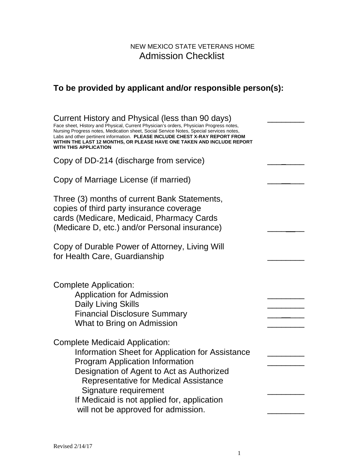## NEW MEXICO STATE VETERANS HOME Admission Checklist

# **To be provided by applicant and/or responsible person(s):**

| Current History and Physical (less than 90 days)<br>Face sheet, History and Physical, Current Physician's orders, Physician Progress notes,<br>Nursing Progress notes, Medication sheet, Social Service Notes, Special services notes,<br>Labs and other pertinent information. PLEASE INCLUDE CHEST X-RAY REPORT FROM<br>WITHIN THE LAST 12 MONTHS, OR PLEASE HAVE ONE TAKEN AND INCLUDE REPORT<br>WITH THIS APPLICATION |  |
|---------------------------------------------------------------------------------------------------------------------------------------------------------------------------------------------------------------------------------------------------------------------------------------------------------------------------------------------------------------------------------------------------------------------------|--|
| Copy of DD-214 (discharge from service)                                                                                                                                                                                                                                                                                                                                                                                   |  |
| Copy of Marriage License (if married)                                                                                                                                                                                                                                                                                                                                                                                     |  |
| Three (3) months of current Bank Statements,<br>copies of third party insurance coverage<br>cards (Medicare, Medicaid, Pharmacy Cards<br>(Medicare D, etc.) and/or Personal insurance)                                                                                                                                                                                                                                    |  |
| Copy of Durable Power of Attorney, Living Will<br>for Health Care, Guardianship                                                                                                                                                                                                                                                                                                                                           |  |
| Complete Application:<br><b>Application for Admission</b><br><b>Daily Living Skills</b><br><b>Financial Disclosure Summary</b><br>What to Bring on Admission                                                                                                                                                                                                                                                              |  |
| <b>Complete Medicaid Application:</b><br>Information Sheet for Application for Assistance<br><b>Program Application Information</b><br>Designation of Agent to Act as Authorized<br><b>Representative for Medical Assistance</b><br>Signature requirement<br>If Medicaid is not applied for, application<br>will not be approved for admission.                                                                           |  |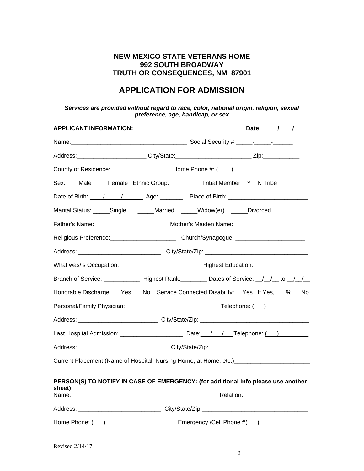## **NEW MEXICO STATE VETERANS HOME 992 SOUTH BROADWAY TRUTH OR CONSEQUENCES, NM 87901**

## **APPLICATION FOR ADMISSION**

### *Services are provided without regard to race, color, national origin, religion, sexual preference, age, handicap, or sex*

| <b>APPLICANT INFORMATION:</b>                                                    | Date: / /                                                                                                                                                                                                                      |  |  |  |  |
|----------------------------------------------------------------------------------|--------------------------------------------------------------------------------------------------------------------------------------------------------------------------------------------------------------------------------|--|--|--|--|
|                                                                                  |                                                                                                                                                                                                                                |  |  |  |  |
|                                                                                  |                                                                                                                                                                                                                                |  |  |  |  |
|                                                                                  |                                                                                                                                                                                                                                |  |  |  |  |
|                                                                                  | Sex: ___Male ___Female Ethnic Group: __________Tribal Member__Y__N Tribe________                                                                                                                                               |  |  |  |  |
|                                                                                  |                                                                                                                                                                                                                                |  |  |  |  |
| Marital Status: _____Single ______Married _____Widow(er) _____Divorced           |                                                                                                                                                                                                                                |  |  |  |  |
|                                                                                  | Father's Name: ________________________________ Mother's Maiden Name: ______________________________                                                                                                                           |  |  |  |  |
|                                                                                  | Religious Preference: _________________________Church/Synagogue: _______________                                                                                                                                               |  |  |  |  |
|                                                                                  |                                                                                                                                                                                                                                |  |  |  |  |
|                                                                                  |                                                                                                                                                                                                                                |  |  |  |  |
|                                                                                  |                                                                                                                                                                                                                                |  |  |  |  |
|                                                                                  | Honorable Discharge:  yes  yes  use No Service Connected Disability:  yes If Yes,  yes  lonorable Discharge:  yes  yes Lif Yes,  yes Lif Yes,  yes Lif Yes,  yes Lif Yes,  yes Lif Yes,  yes Lif Yes,  yes Lif Yes,  yes Lif Y |  |  |  |  |
|                                                                                  |                                                                                                                                                                                                                                |  |  |  |  |
| Address: _____________________________City/State/Zip: __________________________ |                                                                                                                                                                                                                                |  |  |  |  |
|                                                                                  |                                                                                                                                                                                                                                |  |  |  |  |
|                                                                                  |                                                                                                                                                                                                                                |  |  |  |  |
|                                                                                  | Current Placement (Name of Hospital, Nursing Home, at Home, etc.) [1994] Current Placement (Name of Hospital, Nursing Home, at Home, etc.)                                                                                     |  |  |  |  |
| sheet)                                                                           | PERSON(S) TO NOTIFY IN CASE OF EMERGENCY: (for additional info please use another                                                                                                                                              |  |  |  |  |
|                                                                                  | Address: ______________________________City/State/Zip:__________________________                                                                                                                                               |  |  |  |  |
|                                                                                  | Home Phone: (12) 2020 Communication Cell Phone #(20) 2020 Communication Cell Phone #(20)                                                                                                                                       |  |  |  |  |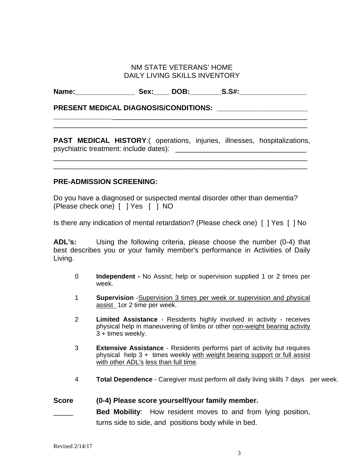## NM STATE VETERANS' HOME DAILY LIVING SKILLS INVENTORY

Name: \_\_\_\_\_\_\_\_\_\_\_\_\_\_\_\_\_\_\_ Sex: \_\_\_\_ DOB: \_\_\_\_\_\_\_ S.S#: \_\_\_\_\_\_\_\_\_\_\_\_\_\_\_\_\_\_\_\_\_\_\_\_\_

**PRESENT MEDICAL DIAGNOSIS/CONDITIONS: \_\_\_\_\_\_\_\_\_\_\_\_\_\_\_\_\_\_\_\_\_\_\_** 

**PAST MEDICAL HISTORY**:( operations, injuries, illnesses, hospitalizations, psychiatric treatment: include dates): \_\_\_\_\_\_\_\_\_\_\_\_\_\_\_\_\_\_\_\_\_\_\_\_\_\_\_\_\_\_\_\_\_

\_\_\_\_\_\_\_\_\_\_\_\_\_\_\_\_\_\_\_\_\_\_\_\_\_\_\_\_\_\_\_\_\_\_\_\_\_\_\_\_\_\_\_\_\_\_\_\_\_\_\_\_\_\_\_\_\_\_\_\_\_\_\_\_ \_\_\_\_\_\_\_\_\_\_\_\_\_\_\_\_\_\_\_\_\_\_\_\_\_\_\_\_\_\_\_\_\_\_\_\_\_\_\_\_\_\_\_\_\_\_\_\_\_\_\_\_\_\_\_\_\_\_\_\_\_\_\_\_

**\_\_\_\_\_\_\_\_\_\_\_\_\_\_\_**\_\_\_\_\_\_\_\_\_\_\_\_\_\_\_\_\_\_\_\_\_\_\_\_\_\_\_\_\_\_\_\_\_\_\_\_\_\_\_\_\_\_\_\_\_\_\_\_\_ \_\_\_\_\_\_\_\_\_\_\_\_\_\_\_\_\_\_\_\_\_\_\_\_\_\_\_\_\_\_\_\_\_\_\_\_\_\_\_\_\_\_\_\_\_\_\_\_\_\_\_\_\_\_\_\_\_\_\_\_\_\_\_\_

## **PRE-ADMISSION SCREENING:**

Do you have a diagnosed or suspected mental disorder other than dementia? (Please check one) [ ] Yes [ ] NO

Is there any indication of mental retardation? (Please check one) [ ] Yes [ ] No

**ADL's:** Using the following criteria, please choose the number (0-4) that best describes you or your family member's performance in Activities of Daily Living.

- 0 **Independent -** No Assist; help or supervision supplied 1 or 2 times per week.
- 1 **Supervision** -Supervision 3 times per week or supervision and physical assist 1or 2 time per week.
- 2 **Limited Assistance** Residents highly involved in activity receives physical help in maneuvering of limbs or other non-weight bearing activity 3 + times weekly.
- 3 **Extensive Assistance** Residents performs part of activity but requires physical help  $3 +$  times weekly with weight bearing support or full assist with other ADL's less than full time.
- 4 **Total Dependence** Caregiver must perform all daily living skills 7 days per week.

## **Score (0-4) Please score yourself/your family member.**

Bed Mobility: How resident moves to and from lying position, turns side to side, and positions body while in bed.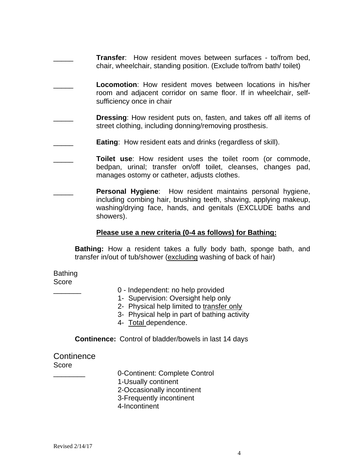- **Transfer:** How resident moves between surfaces to/from bed. chair, wheelchair, standing position. (Exclude to/from bath/ toilet)
- Locomotion: How resident moves between locations in his/her room and adjacent corridor on same floor. If in wheelchair, selfsufficiency once in chair
- **Dressing:** How resident puts on, fasten, and takes off all items of street clothing, including donning/removing prosthesis.
- **Eating:** How resident eats and drinks (regardless of skill).
- **Toilet use:** How resident uses the toilet room (or commode, bedpan, urinal; transfer on/off toilet, cleanses, changes pad, manages ostomy or catheter, adjusts clothes.
- **Personal Hygiene:** How resident maintains personal hygiene, including combing hair, brushing teeth, shaving, applying makeup, washing/drying face, hands, and genitals (EXCLUDE baths and showers).

## **Please use a new criteria (0-4 as follows) for Bathing:**

**Bathing:** How a resident takes a fully body bath, sponge bath, and transfer in/out of tub/shower (excluding washing of back of hair)

## Bathing

Score

- \_\_\_\_\_\_\_ 0 Independent: no help provided
- 1- Supervision: Oversight help only
- 2- Physical help limited to transfer only
- 3- Physical help in part of bathing activity
- 4- Total dependence.

**Continence:** Control of bladder/bowels in last 14 days

## **Continence** Score

\_\_\_\_\_\_\_\_ 0-Continent: Complete Control

1-Usually continent

- 2-Occasionally incontinent
- 3-Frequently incontinent
- 4-Incontinent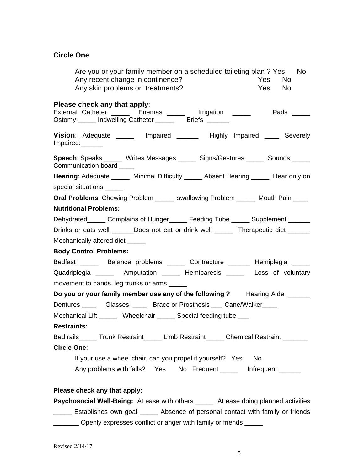## **Circle One**

| Are you or your family member on a scheduled toileting plan? Yes No<br>Any recent change in continence?<br><b>Yes</b><br>No.                                    |
|-----------------------------------------------------------------------------------------------------------------------------------------------------------------|
| Any skin problems or treatments?<br>Yes No                                                                                                                      |
| Please check any that apply:<br>External Catheter _______ Enemas ______ Irrigation ______ Pads _____<br>Ostomy ______ Indwelling Catheter _______ Briefs ______ |
| Vision: Adequate ______ Impaired ______ Highly Impaired ____ Severely<br>Impaired:                                                                              |
| <b>Speech:</b> Speaks ______ Writes Messages _____ Signs/Gestures _____ Sounds _____<br>Communication board ____                                                |
| Hearing: Adequate ______ Minimal Difficulty ______ Absent Hearing ______ Hear only on                                                                           |
| special situations _____                                                                                                                                        |
| Oral Problems: Chewing Problem ______ swallowing Problem ______ Mouth Pain ____                                                                                 |
| <b>Nutritional Problems:</b>                                                                                                                                    |
| Dehydrated______ Complains of Hunger______ Feeding Tube ______ Supplement ______                                                                                |
| Drinks or eats well ______Does not eat or drink well ______ Therapeutic diet ______                                                                             |
| Mechanically altered diet _____                                                                                                                                 |
| <b>Body Control Problems:</b>                                                                                                                                   |
| Bedfast ______ Balance problems ______ Contracture ______ Hemiplegia _____                                                                                      |
| Quadriplegia _______ Amputation ______ Hemiparesis ______ Loss of voluntary                                                                                     |
| movement to hands, leg trunks or arms ______                                                                                                                    |
| Do you or your family member use any of the following? Hearing Aide ______                                                                                      |
| Dentures ________ Glasses _______ Brace or Prosthesis ____ Cane/Walker_____                                                                                     |
| Mechanical Lift ______ Wheelchair _____ Special feeding tube ___                                                                                                |
| <b>Restraints:</b>                                                                                                                                              |
| Bed rails_____ Trunk Restraint_____ Limb Restraint_____ Chemical Restraint ______                                                                               |
| <b>Circle One:</b>                                                                                                                                              |
| If your use a wheel chair, can you propel it yourself? Yes<br><b>No</b>                                                                                         |
| Any problems with falls? Yes No Frequent ______ Infrequent ______                                                                                               |
| Please check any that apply:                                                                                                                                    |
| <b>Psychosocial Well-Being:</b> At ease with others ______ At ease doing planned activities                                                                     |
| Establishes own goal ______ Absence of personal contact with family or friends                                                                                  |

\_\_\_\_\_\_\_ Openly expresses conflict or anger with family or friends \_\_\_\_\_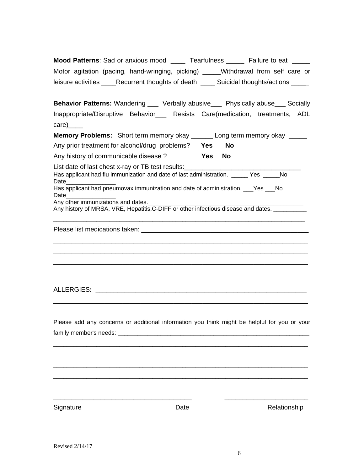|                    | <b>Mood Patterns: Sad or anxious mood</b>        | Tearfulness                  | Failure to eat |  |  |
|--------------------|--------------------------------------------------|------------------------------|----------------|--|--|
|                    | Motor agitation (pacing, hand-wringing, picking) | Withdrawal from self care or |                |  |  |
| leisure activities | Recurrent thoughts of death                      | Suicidal thoughts/actions    |                |  |  |

**Behavior Patterns:** Wandering \_\_\_ Verbally abusive\_\_\_ Physically abuse\_\_\_ Socially Inappropriate/Disruptive Behavior\_\_\_ Resists Care(medication, treatments, ADL care)\_\_\_\_\_

| <b>Memory Problems:</b> Short term memory okay _______ Long term memory okay ______               |      |           |
|---------------------------------------------------------------------------------------------------|------|-----------|
| Any prior treatment for alcohol/drug problems?                                                    | Yes  | <b>No</b> |
| Any history of communicable disease?                                                              | Yes. | <b>No</b> |
| List date of last chest x-ray or TB test results:                                                 |      |           |
| Has applicant had flu immunization and date of last administration. _______ Yes ______ No<br>Date |      |           |
| Has applicant had pneumovax immunization and date of administration. Pes No<br>Date               |      |           |
| Any other immunizations and dates.                                                                |      |           |
| Any history of MRSA, VRE, Hepatitis, C-DIFF or other infectious disease and dates.                |      |           |

\_\_\_\_\_\_\_\_\_\_\_\_\_\_\_\_\_\_\_\_\_\_\_\_\_\_\_\_\_\_\_\_\_\_\_\_\_\_\_\_\_\_\_\_\_\_\_\_\_\_\_\_\_\_\_\_\_\_\_\_\_\_\_\_\_\_\_\_\_\_ \_\_\_\_\_\_\_\_\_\_\_\_\_\_\_\_\_\_\_\_\_\_\_\_\_\_\_\_\_\_\_\_\_\_\_\_\_\_\_\_\_\_\_\_\_\_\_\_\_\_\_\_\_\_\_\_\_\_\_\_\_\_\_\_\_\_\_\_\_\_ \_\_\_\_\_\_\_\_\_\_\_\_\_\_\_\_\_\_\_\_\_\_\_\_\_\_\_\_\_\_\_\_\_\_\_\_\_\_\_\_\_\_\_\_\_\_\_\_\_\_\_\_\_\_\_\_\_\_\_\_\_\_\_\_\_\_\_\_\_\_

\_\_\_\_\_\_\_\_\_\_\_\_\_\_\_\_\_\_\_\_\_\_\_\_\_\_\_\_\_\_\_\_\_\_\_\_\_\_\_\_\_\_\_\_\_\_\_\_\_\_\_\_\_\_\_\_\_\_\_\_\_\_\_\_\_\_\_\_\_\_\_\_\_\_\_\_ Please list medications taken: **Example 2018** 

ALLERGIES**:** \_\_\_\_\_\_\_\_\_\_\_\_\_\_\_\_\_\_\_\_\_\_\_\_\_\_\_\_\_\_\_\_\_\_\_\_\_\_\_\_\_\_\_\_\_\_\_\_\_\_\_\_\_\_\_\_\_\_

Please add any concerns or additional information you think might be helpful for you or your family member's needs: \_\_\_\_\_\_\_\_\_\_\_\_\_\_\_\_\_\_\_\_\_\_\_\_\_\_\_\_\_\_\_\_\_\_\_\_\_\_\_\_\_\_\_\_\_\_\_\_\_\_\_\_\_\_\_\_\_\_

\_\_\_\_\_\_\_\_\_\_\_\_\_\_\_\_\_\_\_\_\_\_\_\_\_\_\_\_\_\_\_\_\_\_\_\_\_\_\_\_\_\_\_\_\_\_\_\_\_\_\_\_\_\_\_\_\_\_\_\_\_\_\_\_\_\_\_\_\_\_\_\_\_\_\_\_\_ \_\_\_\_\_\_\_\_\_\_\_\_\_\_\_\_\_\_\_\_\_\_\_\_\_\_\_\_\_\_\_\_\_\_\_\_\_\_\_\_\_\_\_\_\_\_\_\_\_\_\_\_\_\_\_\_\_\_\_\_\_\_\_\_\_\_\_\_\_\_\_\_\_\_\_\_\_ \_\_\_\_\_\_\_\_\_\_\_\_\_\_\_\_\_\_\_\_\_\_\_\_\_\_\_\_\_\_\_\_\_\_\_\_\_\_\_\_\_\_\_\_\_\_\_\_\_\_\_\_\_\_\_\_\_\_\_\_\_\_\_\_\_\_\_\_\_\_\_\_\_\_\_\_\_ \_\_\_\_\_\_\_\_\_\_\_\_\_\_\_\_\_\_\_\_\_\_\_\_\_\_\_\_\_\_\_\_\_\_\_\_\_\_\_\_\_\_\_\_\_\_\_\_\_\_\_\_\_\_\_\_\_\_\_\_\_\_\_\_\_\_\_\_\_\_\_\_\_\_\_\_\_

\_\_\_\_\_\_\_\_\_\_\_\_\_\_\_\_\_\_\_\_\_\_\_\_\_\_\_\_\_\_\_\_\_\_\_\_\_\_\_\_\_\_\_\_\_\_\_\_\_\_\_\_\_\_\_\_\_\_\_\_\_\_\_\_\_\_\_\_\_\_

\_\_\_\_\_\_\_\_\_\_\_\_\_\_\_\_\_\_\_\_\_\_\_\_\_\_\_\_\_\_\_\_\_\_\_\_\_\_ \_\_\_\_\_\_\_\_\_\_\_\_\_\_\_\_\_\_\_\_\_\_\_

Signature **Date** Date **Date** Relationship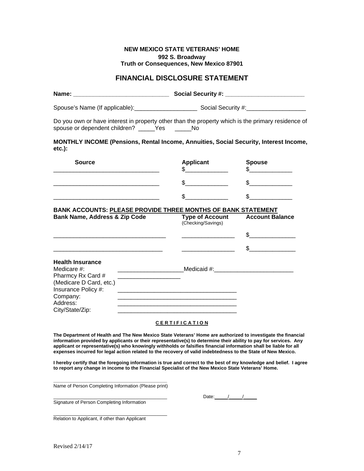#### **NEW MEXICO STATE VETERANS' HOME 992 S. Broadway Truth or Consequences, New Mexico 87901**

## **FINANCIAL DISCLOSURE STATEMENT**

| Name:                          | <b>Social Security #:</b> |  |
|--------------------------------|---------------------------|--|
| Spouse's Name (If applicable): | Social Security #:        |  |

Do you own or have interest in property other than the property which is the primary residence of spouse or dependent children? Yes No

#### **MONTHLY INCOME (Pensions, Rental Income, Annuities, Social Security, Interest Income, etc.):**

| <b>Source</b> | <b>Applicant</b> | <b>Spouse</b> |
|---------------|------------------|---------------|
|               |                  |               |
|               |                  |               |

## **BANK ACCOUNTS: PLEASE PROVIDE THREE MONTHS OF BANK STATEMENT**

| Bank Name, Address & Zip Code                                                                                                                               | <b>Type of Account</b><br>(Checking/Savings) | <b>Account Balance</b> |
|-------------------------------------------------------------------------------------------------------------------------------------------------------------|----------------------------------------------|------------------------|
|                                                                                                                                                             |                                              | \$.                    |
|                                                                                                                                                             |                                              | \$.                    |
| <b>Health Insurance</b><br>Medicare $#$ :<br>Pharmcy Rx Card #<br>(Medicare D Card, etc.)<br>Insurance Policy #:<br>Company:<br>Address:<br>City/State/Zip: | Medicaid #: Nedicaid #:                      |                        |

#### **C E R T I F I C A T I O N**

**The Department of Health and The New Mexico State Veterans' Home are authorized to investigate the financial information provided by applicants or their representative(s) to determine their ability to pay for services. Any applicant or representative(s) who knowingly withholds or falsifies financial information shall be liable for all expenses incurred for legal action related to the recovery of valid indebtedness to the State of New Mexico.** 

**I hereby certify that the foregoing information is true and correct to the best of my knowledge and belief. I agree to report any change in income to the Financial Specialist of the New Mexico State Veterans' Home.** 

**\_\_\_\_\_\_\_\_\_\_\_\_\_\_\_\_\_\_\_\_\_\_\_\_\_\_\_\_\_\_\_\_\_\_\_\_\_\_\_\_\_\_\_**  Name of Person Completing Information (Please print)

Date: $\frac{1}{\sqrt{2}}$ 

Signature of Person Completing Information

\_\_\_\_\_\_\_\_\_\_\_\_\_\_\_\_\_\_\_\_\_\_\_\_\_\_\_\_\_\_\_\_\_\_\_\_\_\_\_\_\_\_\_ Relation to Applicant, if other than Applicant